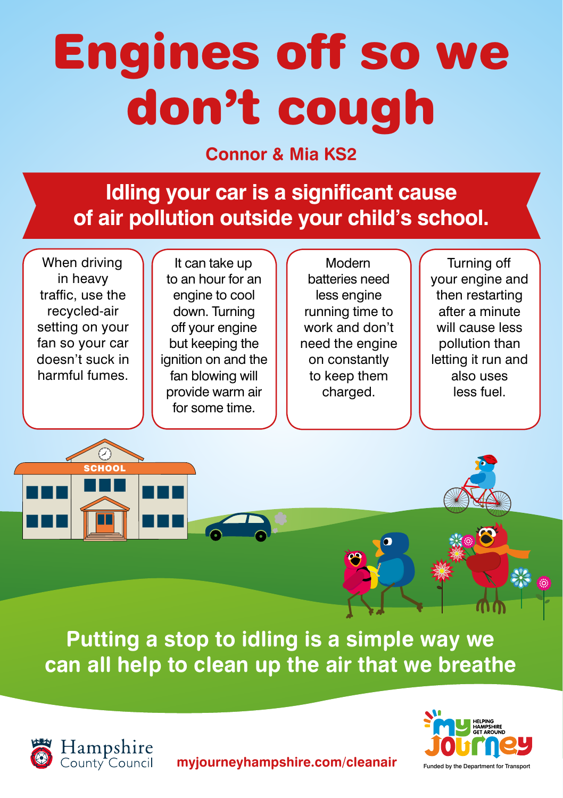## Engines off so we don't cough

## **Connor & Mia KS2**

**Idling your car is a significant cause of air pollution outside your child's school.**

When driving in heavy traffic, use the recycled-air setting on your fan so your car doesn't suck in harmful fumes.

SCHOOL

It can take up to an hour for an engine to cool down. Turning off your engine but keeping the ignition on and the fan blowing will provide warm air for some time.

Modern batteries need less engine running time to work and don't need the engine on constantly to keep them charged.

Turning off your engine and then restarting after a minute will cause less pollution than letting it run and also uses less fuel.







**myjourneyhampshire.com/cleanair**